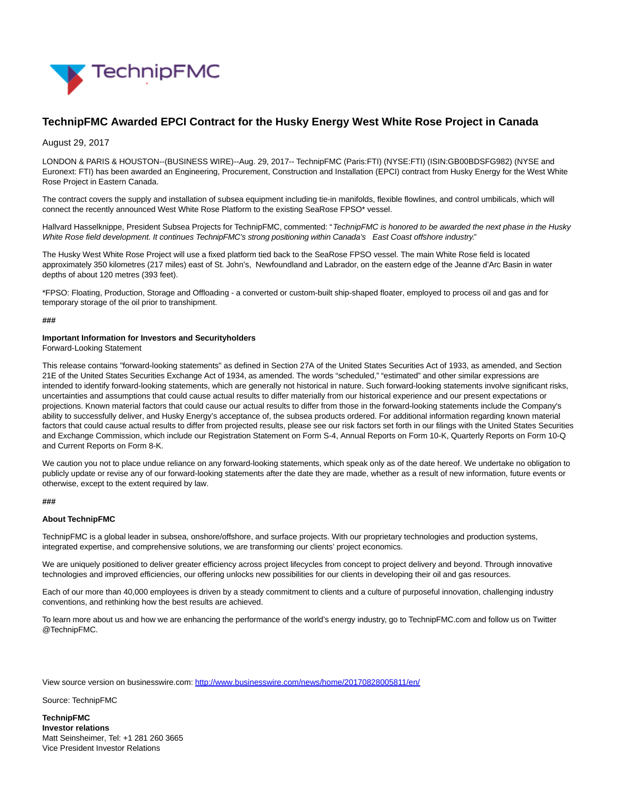

# **TechnipFMC Awarded EPCI Contract for the Husky Energy West White Rose Project in Canada**

### August 29, 2017

LONDON & PARIS & HOUSTON--(BUSINESS WIRE)--Aug. 29, 2017-- TechnipFMC (Paris:FTI) (NYSE:FTI) (ISIN:GB00BDSFG982) (NYSE and Euronext: FTI) has been awarded an Engineering, Procurement, Construction and Installation (EPCI) contract from Husky Energy for the West White Rose Project in Eastern Canada.

The contract covers the supply and installation of subsea equipment including tie-in manifolds, flexible flowlines, and control umbilicals, which will connect the recently announced West White Rose Platform to the existing SeaRose FPSO\* vessel.

Hallvard Hasselknippe, President Subsea Projects for TechnipFMC, commented: "TechnipFMC is honored to be awarded the next phase in the Husky White Rose field development. It continues TechnipFMC's strong positioning within Canada's East Coast offshore industry."

The Husky West White Rose Project will use a fixed platform tied back to the SeaRose FPSO vessel. The main White Rose field is located approximately 350 kilometres (217 miles) east of St. John's, Newfoundland and Labrador, on the eastern edge of the Jeanne d'Arc Basin in water depths of about 120 metres (393 feet).

\*FPSO: Floating, Production, Storage and Offloading - a converted or custom-built ship-shaped floater, employed to process oil and gas and for temporary storage of the oil prior to transhipment.

#### **###**

### **Important Information for Investors and Securityholders**

Forward-Looking Statement

This release contains "forward-looking statements" as defined in Section 27A of the United States Securities Act of 1933, as amended, and Section 21E of the United States Securities Exchange Act of 1934, as amended. The words "scheduled," "estimated" and other similar expressions are intended to identify forward-looking statements, which are generally not historical in nature. Such forward-looking statements involve significant risks, uncertainties and assumptions that could cause actual results to differ materially from our historical experience and our present expectations or projections. Known material factors that could cause our actual results to differ from those in the forward-looking statements include the Company's ability to successfully deliver, and Husky Energy's acceptance of, the subsea products ordered. For additional information regarding known material factors that could cause actual results to differ from projected results, please see our risk factors set forth in our filings with the United States Securities and Exchange Commission, which include our Registration Statement on Form S-4, Annual Reports on Form 10-K, Quarterly Reports on Form 10-Q and Current Reports on Form 8-K.

We caution you not to place undue reliance on any forward-looking statements, which speak only as of the date hereof. We undertake no obligation to publicly update or revise any of our forward-looking statements after the date they are made, whether as a result of new information, future events or otherwise, except to the extent required by law.

## **###**

## **About TechnipFMC**

TechnipFMC is a global leader in subsea, onshore/offshore, and surface projects. With our proprietary technologies and production systems, integrated expertise, and comprehensive solutions, we are transforming our clients' project economics.

We are uniquely positioned to deliver greater efficiency across project lifecycles from concept to project delivery and beyond. Through innovative technologies and improved efficiencies, our offering unlocks new possibilities for our clients in developing their oil and gas resources.

Each of our more than 40,000 employees is driven by a steady commitment to clients and a culture of purposeful innovation, challenging industry conventions, and rethinking how the best results are achieved.

To learn more about us and how we are enhancing the performance of the world's energy industry, go to TechnipFMC.com and follow us on Twitter @TechnipFMC.

View source version on businesswire.com:<http://www.businesswire.com/news/home/20170828005811/en/>

Source: TechnipFMC

**TechnipFMC Investor relations** Matt Seinsheimer, Tel: +1 281 260 3665 Vice President Investor Relations